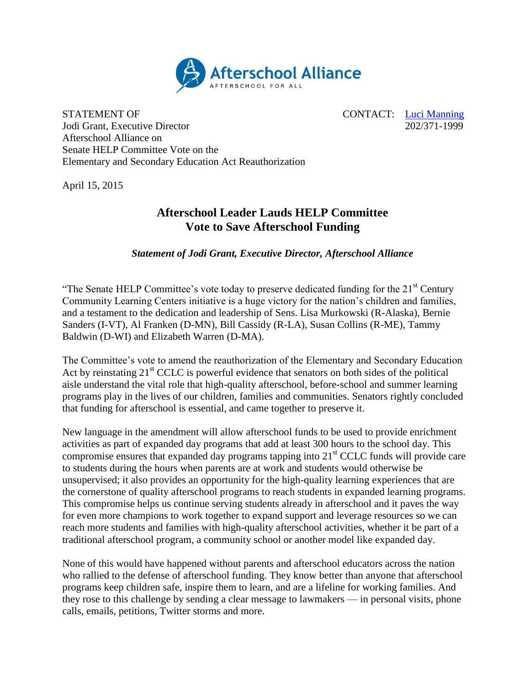

STATEMENT OF CONTACT: [Luci Manning](mailto:luci@prsolutionsdc.com) Jodi Grant, Executive Director 202/371-1999 Afterschool Alliance on Senate HELP Committee Vote on the Elementary and Secondary Education Act Reauthorization

April 15, 2015

## **Afterschool Leader Lauds HELP Committee Vote to Save Afterschool Funding**

*Statement of Jodi Grant, Executive Director, Afterschool Alliance*

"The Senate HELP Committee's vote today to preserve dedicated funding for the  $21<sup>st</sup>$  Century Community Learning Centers initiative is a huge victory for the nation's children and families, and a testament to the dedication and leadership of Sens. Lisa Murkowski (R-Alaska), Bernie Sanders (I-VT), Al Franken (D-MN), Bill Cassidy (R-LA), Susan Collins (R-ME), Tammy Baldwin (D-WI) and Elizabeth Warren (D-MA).

The Committee's vote to amend the reauthorization of the Elementary and Secondary Education Act by reinstating  $21<sup>st</sup>$  CCLC is powerful evidence that senators on both sides of the political aisle understand the vital role that high-quality afterschool, before-school and summer learning programs play in the lives of our children, families and communities. Senators rightly concluded that funding for afterschool is essential, and came together to preserve it.

New language in the amendment will allow afterschool funds to be used to provide enrichment activities as part of expanded day programs that add at least 300 hours to the school day. This compromise ensures that expanded day programs tapping into  $21<sup>st</sup> CCLC$  funds will provide care to students during the hours when parents are at work and students would otherwise be unsupervised; it also provides an opportunity for the high-quality learning experiences that are the cornerstone of quality afterschool programs to reach students in expanded learning programs. This compromise helps us continue serving students already in afterschool and it paves the way for even more champions to work together to expand support and leverage resources so we can reach more students and families with high-quality afterschool activities, whether it be part of a traditional afterschool program, a community school or another model like expanded day.

None of this would have happened without parents and afterschool educators across the nation who rallied to the defense of afterschool funding. They know better than anyone that afterschool programs keep children safe, inspire them to learn, and are a lifeline for working families. And they rose to this challenge by sending a clear message to lawmakers — in personal visits, phone calls, emails, petitions, Twitter storms and more.